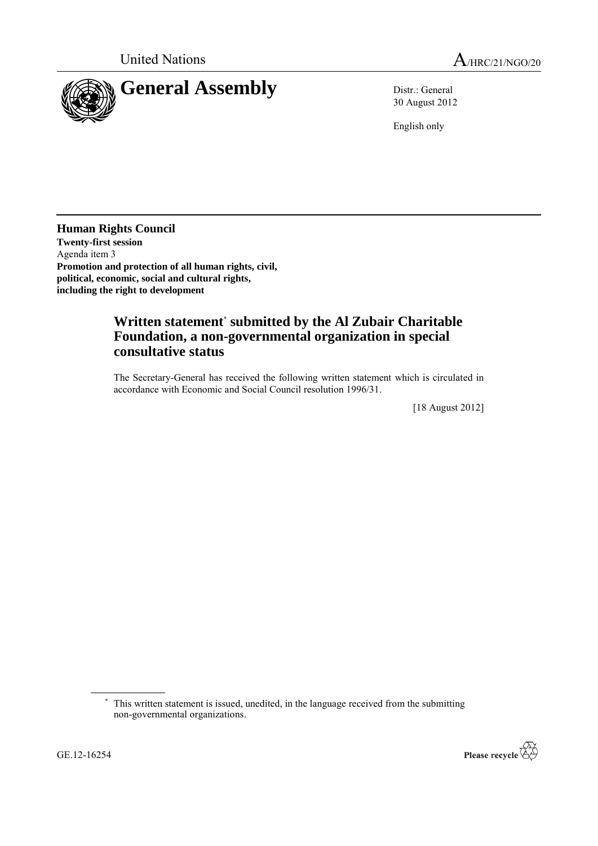

30 August 2012

English only

**Human Rights Council Twenty-first session** Agenda item 3 **Promotion and protection of all human rights, civil, political, economic, social and cultural rights, including the right to development**

## **Written statement**\* **submitted by the Al Zubair Charitable Foundation, a non-governmental organization in special consultative status**

The Secretary-General has received the following written statement which is circulated in accordance with Economic and Social Council resolution 1996/31.

[18 August 2012]



<sup>\*</sup> This written statement is issued, unedited, in the language received from the submitting non-governmental organizations.